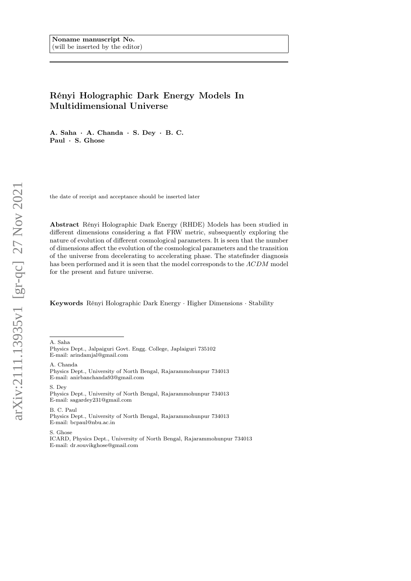# Rényi Holographic Dark Energy Models In Multidimensional Universe

A. Saha · A. Chanda · S. Dey · B. C. Paul · S. Ghose

the date of receipt and acceptance should be inserted later

Abstract Rényi Holographic Dark Energy (RHDE) Models has been studied in different dimensions considering a flat FRW metric, subsequently exploring the nature of evolution of different cosmological parameters. It is seen that the number of dimensions affect the evolution of the cosmological parameters and the transition of the universe from decelerating to accelerating phase. The statefinder diagnosis has been performed and it is seen that the model corresponds to the ΛCDM model for the present and future universe.

Keywords Rényi Holographic Dark Energy · Higher Dimensions · Stability

A. Saha

A. Chanda Physics Dept., University of North Bengal, Rajarammohunpur 734013 E-mail: anirbanchanda93@gmail.com

S. Dey

Physics Dept., University of North Bengal, Rajarammohunpur 734013 E-mail: sagardey231@gmail.com

B. C. Paul

Physics Dept., University of North Bengal, Rajarammohunpur 734013 E-mail: bcpaul@nbu.ac.in

S. Ghose

ICARD, Physics Dept., University of North Bengal, Rajarammohunpur 734013 E-mail: dr.souvikghose@gmail.com

Physics Dept., Jalpaiguri Govt. Engg. College, Japlaiguri 735102 E-mail: arindamjal@gmail.com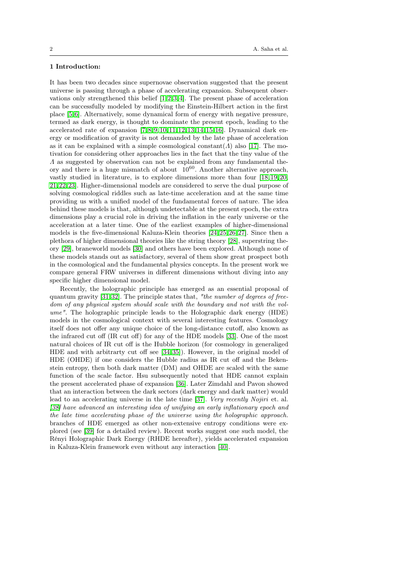## 1 Introduction:

It has been two decades since supernovae observation suggested that the present universe is passing through a phase of accelerating expansion. Subsequent observations only strengthened this belief  $[1, 2, 3, 4]$  $[1, 2, 3, 4]$  $[1, 2, 3, 4]$  $[1, 2, 3, 4]$ . The present phase of acceleration can be successfully modeled by modifying the Einstein-Hilbert action in the first place [\[5,](#page-12-4) [6\]](#page-12-5). Alternatively, some dynamical form of energy with negative pressure, termed as dark energy, is thought to dominate the present epoch, leading to the accelerated rate of expansion  $[7,8,9,10,11,12,13,14,15,16]$  $[7,8,9,10,11,12,13,14,15,16]$  $[7,8,9,10,11,12,13,14,15,16]$  $[7,8,9,10,11,12,13,14,15,16]$  $[7,8,9,10,11,12,13,14,15,16]$  $[7,8,9,10,11,12,13,14,15,16]$  $[7,8,9,10,11,12,13,14,15,16]$ . Dynamical dark energy or modification of gravity is not demanded by the late phase of acceleration as it can be explained with a simple cosmological constant( $\Lambda$ ) also [\[17\]](#page-12-16). The motivation for considering other approaches lies in the fact that the tiny value of the Λ as suggested by observation can not be explained from any fundamental theory and there is a huge mismatch of about  $10^{60}$ . Another alternative approach, vastly studied in literature, is to explore dimensions more than four [\[18,](#page-12-17)[19,](#page-12-18) [20,](#page-12-19) [21,](#page-12-20) [22,](#page-12-21)[23\]](#page-12-22). Higher-dimensional models are considered to serve the dual purpose of solving cosmological riddles such as late-time acceleration and at the same time providing us with a unified model of the fundamental forces of nature. The idea behind these models is that, although undetectable at the present epoch, the extra dimensions play a crucial role in driving the inflation in the early universe or the acceleration at a later time. One of the earliest examples of higher-dimensional models is the five-dimensional Kaluza-Klein theories [\[24,](#page-12-23) [25,](#page-12-24) [26,](#page-12-25) [27\]](#page-12-26). Since then a plethora of higher dimensional theories like the string theory [\[28\]](#page-12-27), superstring theory [\[29\]](#page-12-28), braneworld models [\[30\]](#page-12-29) and others have been explored. Although none of these models stands out as satisfactory, several of them show great prospect both in the cosmological and the fundamental physics concepts. In the present work we compare general FRW universes in different dimensions without diving into any specific higher dimensional model.

Recently, the holographic principle has emerged as an essential proposal of quantum gravity  $[31, 32]$  $[31, 32]$ . The principle states that, "the number of degrees of freedom of any physical system should scale with the boundary and not with the volume". The holographic principle leads to the Holographic dark energy (HDE) models in the cosmological context with several interesting features. Cosmology itself does not offer any unique choice of the long-distance cutoff, also known as the infrared cut off (IR cut off) for any of the HDE models [\[33\]](#page-12-32). One of the most natural choices of IR cut off is the Hubble horizon (for cosmology in generaliged HDE and with arbitrarty cut off see [\[34,](#page-12-33) [35\]](#page-12-34)). However, in the original model of HDE (OHDE) if one considers the Hubble radius as IR cut off and the Bekenstein entropy, then both dark matter (DM) and OHDE are scaled with the same function of the scale factor. Hsu subsequently noted that HDE cannot explain the present accelerated phase of expansion [\[36\]](#page-12-35). Later Zimdahl and Pavon showed that an interaction between the dark sectors (dark energy and dark matter) would lead to an accelerating universe in the late time [\[37\]](#page-12-36). Very recently Nojiri et. al. [\[38\]](#page-13-0) have advanced an interesting idea of unifying an early inflationary epoch and the late time accelerating phase of the universe using the holographic approach. branches of HDE emerged as other non-extensive entropy conditions were explored (see [\[39\]](#page-13-1) for a detailed review). Recent works suggest one such model, the Rényi Holographic Dark Energy (RHDE hereafter), yields accelerated expansion in Kaluza-Klein framework even without any interaction [\[40\]](#page-13-2).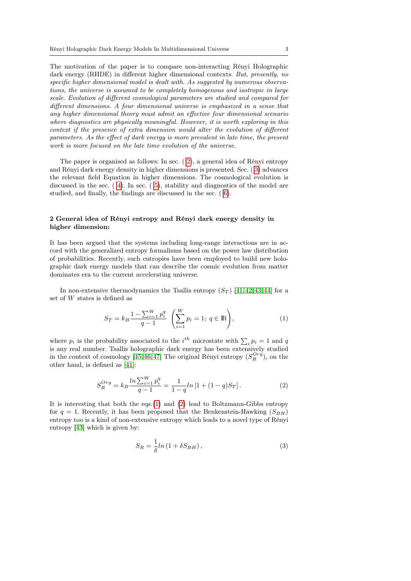The motivation of the paper is to compare non-interacting Rényi Holographic dark energy (RHDE) in different higher dimensional contexts. But, presently, no specific higher dimensional model is dealt with. As suggested by numerous observations, the universe is assumed to be completely homogenous and isotropic in large scale. Evolution of different cosmological parameters are studied and compared for different dimensions. A four dimensional universe is emphasized in a sense that any higher dimensional theory must admit an effective four dimensional scenario where diagnostics are physically meaningful. However, it is worth exploring in this context if the presence of extra dimension would alter the evolution of different parameters. As the effect of dark energy is more prevalent in late time, the present work is more focused on the late time evolution of the universe.

The paper is organised as follows: In sec. ( [2\)](#page-2-0), a general idea of Rényi entropy and Rényi dark energy density in higher dimensions is presented. Sec. ( [3\)](#page-4-0) advances the relevant field Equation in higher dimensions. The cosmological evolution is discussed in the sec. ( [4\)](#page-6-0). In sec. ( [5\)](#page-8-0), stability and diagnostics of the model are studied, and finally, the findings are discussed in the sec. ( [6\)](#page-11-0).

## <span id="page-2-0"></span>2 General idea of Rényi entropy and Rényi dark energy density in higher dimension:

It has been argued that the systems including long-range interactions are in accord with the generalized entropy formalisms based on the power law distribution of probabilities. Recently, such entropies have been employed to build new holographic dark energy models that can describe the cosmic evolution from matter dominates era to the current accelerating universe.

In non-extensive thermodynamics the Tsallis entropy  $(S_T)$  [\[41,](#page-13-3) [42,](#page-13-4) [43,](#page-13-5) [44\]](#page-13-6) for a set of W states is defined as

<span id="page-2-1"></span>
$$
S_T = k_B \frac{1 - \sum_{i=1}^{W} p_i^q}{q - 1} \left( \sum_{i=1}^{W} p_i = 1; \ q \in \mathbb{R} \right), \tag{1}
$$

where  $p_i$  is the probability associated to the  $i^{th}$  microstate with  $\sum_i p_i = 1$  and q is any real number. Tsallis holographic dark energy has been extensively studied in the context of cosmology [\[45,](#page-13-7) [46,](#page-13-8) [47\]](#page-13-9) The original Rényi entropy  $(S_R^{Org})$ , on the other hand, is defined as [\[41\]](#page-13-3):

<span id="page-2-2"></span>
$$
S_R^{Org} = k_B \frac{\ln \sum_{i=1}^{W} p_i^q}{q - 1} = \frac{1}{1 - q} \ln \left[ 1 + (1 - q) S_T \right]. \tag{2}
$$

It is interesting that both the eqs.[\(1\)](#page-2-1) and [\(2\)](#page-2-2) lead to Boltzmann-Gibbs entropy for  $q = 1$ . Recently, it has been proposed that the Benkenstein-Hawking  $(S_{BH})$ entropy too is a kind of non-extensive entropy which leads to a novel type of Rényi entropy [\[43\]](#page-13-5) which is given by:

$$
S_R = \frac{1}{\delta} ln\left(1 + \delta S_{BH}\right),\tag{3}
$$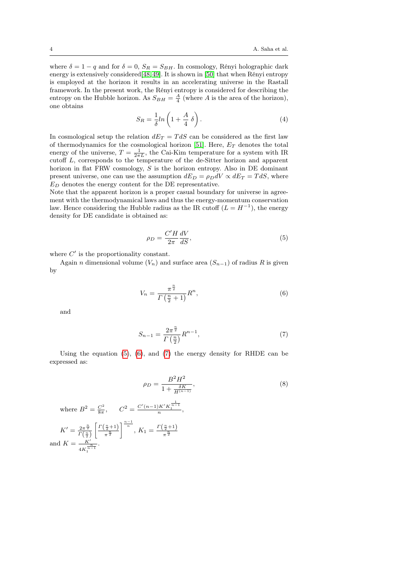where  $\delta = 1 - q$  and for  $\delta = 0$ ,  $S_R = S_{BH}$ . In cosmology, Rényi holographic dark energy is extensively considered[\[48,](#page-13-10) [49\]](#page-13-11). It is shown in [\[50\]](#page-13-12) that when Rényi entropy is employed at the horizon it results in an accelerating universe in the Rastall framework. In the present work, the Rényi entropy is considered for describing the entropy on the Hubble horizon. As  $S_{BH} = \frac{A}{4}$  (where A is the area of the horizon), one obtains

$$
S_R = \frac{1}{\delta} ln\left(1 + \frac{A}{4} \delta\right). \tag{4}
$$

In cosmological setup the relation  $dE_T = T dS$  can be considered as the first law of thermodynamics for the cosmological horizon [\[51\]](#page-13-13). Here,  $E_T$  denotes the total energy of the universe,  $T = \frac{1}{2\pi L}$ , the Cai-Kim temperature for a system with IR cutoff L, corresponds to the temperature of the de-Sitter horizon and apparent horizon in flat FRW cosmology, S is the horizon entropy. Also in DE dominant present universe, one can use the assumption  $dE_D = \rho_D dV \propto dE_T = T dS$ , where  $E_D$  denotes the energy content for the DE representative.

Note that the apparent horizon is a proper casual boundary for universe in agreement with the thermodynamical laws and thus the energy-momentum conservation law. Hence considering the Hubble radius as the IR cutoff  $(L = H^{-1})$ , the energy density for DE candidate is obtained as:

<span id="page-3-0"></span>
$$
\rho_D = \frac{C'H}{2\pi} \frac{dV}{dS},\tag{5}
$$

where  $C'$  is the proportionality constant.

Again *n* dimensional volume  $(V_n)$  and surface area  $(S_{n-1})$  of radius R is given by

<span id="page-3-1"></span>
$$
V_n = \frac{\pi^{\frac{n}{2}}}{\Gamma\left(\frac{n}{2} + 1\right)} R^n,\tag{6}
$$

and

<span id="page-3-2"></span>
$$
S_{n-1} = \frac{2\pi^{\frac{n}{2}}}{\Gamma\left(\frac{n}{2}\right)} R^{n-1},\tag{7}
$$

Using the equation  $(5)$ ,  $(6)$ , and  $(7)$  the energy density for RHDE can be expressed as:

$$
\rho_D = \frac{B^2 H^2}{1 + \frac{\delta K}{H^{(n-1)}}},\tag{8}
$$

where 
$$
B^2 = \frac{C^2}{8\pi}
$$
,  $C^2 = \frac{C'(n-1)K'K_1^{\frac{1}{n-1}}}{n}$ ,  
\n $K' = \frac{2\pi^{\frac{n}{2}}}{\Gamma(\frac{n}{2})} \left[ \frac{\Gamma(\frac{n}{2}+1)}{\pi^{\frac{n}{2}}} \right]^{\frac{n-1}{n}}$ ,  $K_1 = \frac{\Gamma(\frac{n}{2}+1)}{\pi^{\frac{n}{2}}}$   
\nand  $K = \frac{K'}{4K_1^{\frac{n}{n-1}}}$ .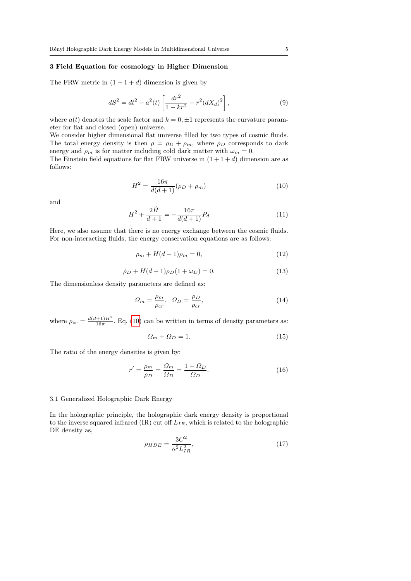## <span id="page-4-0"></span>3 Field Equation for cosmology in Higher Dimension

The FRW metric in  $(1 + 1 + d)$  dimension is given by

$$
dS^{2} = dt^{2} - a^{2}(t) \left[ \frac{dr^{2}}{1 - kr^{2}} + r^{2} (dX_{d})^{2} \right],
$$
\n(9)

where  $a(t)$  denotes the scale factor and  $k = 0, \pm 1$  represents the curvature parameter for flat and closed (open) universe.

We consider higher dimensional flat universe filled by two types of cosmic fluids. The total energy density is then  $\rho = \rho_D + \rho_m$ , where  $\rho_D$  corresponds to dark energy and  $\rho_m$  is for matter including cold dark matter with  $\omega_m = 0$ .

The Einstein field equations for flat FRW universe in  $(1 + 1 + d)$  dimension are as follows:

<span id="page-4-1"></span>
$$
H^{2} = \frac{16\pi}{d(d+1)}(\rho_{D} + \rho_{m})
$$
\n(10)

and

<span id="page-4-4"></span>
$$
H^{2} + \frac{2\dot{H}}{d+1} = -\frac{16\pi}{d(d+1)}P_{d}
$$
\n(11)

Here, we also assume that there is no energy exchange between the cosmic fluids. For non-interacting fluids, the energy conservation equations are as follows:

<span id="page-4-2"></span>
$$
\dot{\rho}_m + H(d+1)\rho_m = 0,\tag{12}
$$

<span id="page-4-3"></span>
$$
\dot{\rho}_D + H(d+1)\rho_D(1+\omega_D) = 0.
$$
\n(13)

The dimensionless density parameters are defined as:

$$
\Omega_m = \frac{\rho_m}{\rho_{cr}}, \ \ \Omega_D = \frac{\rho_D}{\rho_{cr}}, \ \ (14)
$$

where  $\rho_{cr} = \frac{d(d+1)H^2}{16\pi}$ . Eq. [\(10\)](#page-4-1) can be written in terms of density parameters as:

$$
\Omega_m + \Omega_D = 1. \tag{15}
$$

The ratio of the energy densities is given by:

$$
r' = \frac{\rho_m}{\rho_D} = \frac{\Omega_m}{\Omega_D} = \frac{1 - \Omega_D}{\Omega_D}.
$$
\n(16)

#### 3.1 Generalized Holographic Dark Energy

In the holographic principle, the holographic dark energy density is proportional to the inverse squared infrared  $(IR)$  cut off  $L_{IR}$ , which is related to the holographic DE density as,

$$
\rho_{HDE} = \frac{3C^2}{\kappa^2 L_{IR}^2},\tag{17}
$$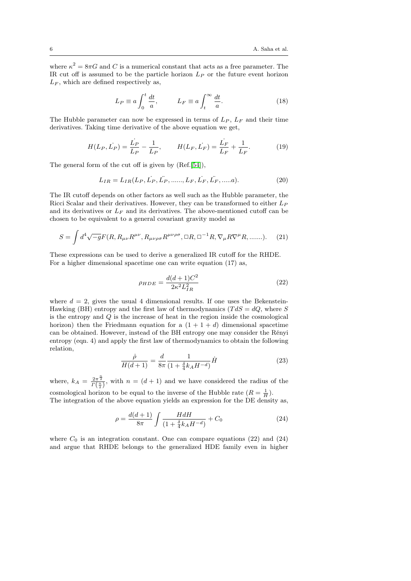where  $\kappa^2 = 8\pi G$  and C is a numerical constant that acts as a free parameter. The IR cut off is assumed to be the particle horizon  $L_P$  or the future event horizon  $L_F$ , which are defined respectively as,

$$
L_P \equiv a \int_0^t \frac{dt}{a}, \qquad L_F \equiv a \int_t^\infty \frac{dt}{a}.\tag{18}
$$

The Hubble parameter can now be expressed in terms of  $L_P$ ,  $L_F$  and their time derivatives. Taking time derivative of the above equation we get,

$$
H(L_P, L_P) = \frac{L_P}{L_P} - \frac{1}{L_P}, \qquad H(L_F, L_F) = \frac{L_F}{L_F} + \frac{1}{L_F}.
$$
 (19)

The general form of the cut off is given by (Ref.[\[54\]](#page-13-14)),

$$
L_{IR} = L_{IR}(L_P, L_P, L_P, \dots, L_F, L_F, L_F, \dots, a). \tag{20}
$$

The IR cutoff depends on other factors as well such as the Hubble parameter, the Ricci Scalar and their derivatives. However, they can be transformed to either  $L_P$ and its derivatives or  $L_F$  and its derivatives. The above-mentioned cutoff can be chosen to be equivalent to a general covariant gravity model as

$$
S = \int d^4 \sqrt{-g} F(R, R_{\mu\nu} R^{\mu\nu}, R_{\mu\nu\rho\sigma} R^{\mu\nu\rho\sigma}, \Box R, \Box^{-1} R, \nabla_{\mu} R \nabla^{\mu} R, \dots \dots). \tag{21}
$$

These expressions can be used to derive a generalized IR cutoff for the RHDE. For a higher dimensional spacetime one can write equation (17) as,

$$
\rho_{HDE} = \frac{d(d+1)C^2}{2\kappa^2 L_{IR}^2} \tag{22}
$$

where  $d = 2$ , gives the usual 4 dimensional results. If one uses the Bekenstein-Hawking (BH) entropy and the first law of thermodynamics ( $TdS = dQ$ , where S is the entropy and Q is the increase of heat in the region inside the cosmological horizon) then the Friedmann equation for a  $(1 + 1 + d)$  dimensional spacetime can be obtained. However, instead of the BH entropy one may consider the Rényi entropy (eqn. 4) and apply the first law of thermodynamics to obtain the following relation,

$$
\frac{\dot{\rho}}{H(d+1)} = \frac{d}{8\pi} \frac{1}{(1 + \frac{\delta}{4}k_A H^{-d})} \dot{H}
$$
\n(23)

where,  $k_A = \frac{2\pi^{\frac{n}{2}}}{\Gamma(\frac{n}{2})}$ , with  $n = (d+1)$  and we have considered the radius of the cosmological horizon to be equal to the inverse of the Hubble rate  $(R = \frac{1}{H})$ .

The integration of the above equation yields an expression for the DE density as,

$$
\rho = \frac{d(d+1)}{8\pi} \int \frac{H dH}{(1 + \frac{\delta}{4} k_A H^{-d})} + C_0
$$
\n(24)

where  $C_0$  is an integration constant. One can compare equations (22) and (24) and argue that RHDE belongs to the generalized HDE family even in higher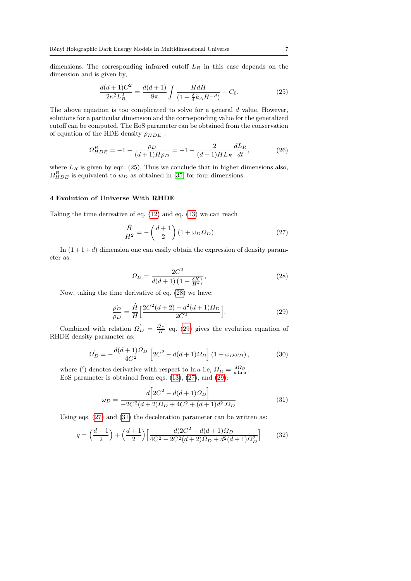dimensions. The corresponding infrared cutoff  $L_R$  in this case depends on the dimension and is given by,

$$
\frac{d(d+1)C^2}{2\kappa^2 L_R^2} = \frac{d(d+1)}{8\pi} \int \frac{H dH}{\left(1 + \frac{\delta}{4} k_A H^{-d}\right)} + C_0.
$$
\n(25)

The above equation is too complicated to solve for a general  $d$  value. However, solutions for a particular dimension and the corresponding value for the generalized cutoff can be computed. The EoS parameter can be obtained from the conservation of equation of the HDE density  $\rho_{HDE}$ :

$$
\Omega_{HDE}^{R} = -1 - \frac{\rho_D}{(d+1)H\rho_D} = -1 + \frac{2}{(d+1)HL_R} \frac{dL_R}{dt},\tag{26}
$$

where  $L_R$  is given by eqn. (25). Thus we conclude that in higher dimensions also,  $\Omega_{HDE}^{R}$  is equivalent to  $w_D$  as obtained in [\[35\]](#page-12-34) for four dimensions.

### <span id="page-6-0"></span>4 Evolution of Universe With RHDE

Taking the time derivative of eq. [\(12\)](#page-4-2) and eq. [\(13\)](#page-4-3) we can reach

<span id="page-6-3"></span>
$$
\frac{\dot{H}}{H^2} = -\left(\frac{d+1}{2}\right)(1+\omega_D\Omega_D) \tag{27}
$$

In  $(1+1+d)$  dimension one can easily obtain the expression of density parameter as:

<span id="page-6-1"></span>
$$
\Omega_D = \frac{2C^2}{d(d+1)\left(1 + \frac{\delta K}{H^d}\right)},\tag{28}
$$

Now, taking the time derivative of eq. [\(28\)](#page-6-1) we have:

<span id="page-6-2"></span>
$$
\frac{\rho_D}{\rho_D} = \frac{\dot{H}}{H} \left[ \frac{2C^2(d+2) - d^2(d+1)\Omega_D}{2C^2} \right].
$$
\n(29)

Combined with relation  $\Omega'_{D} = \frac{\Omega_{D}}{H}$  eq. [\(29\)](#page-6-2) gives the evolution equation of RHDE density parameter as:

$$
\Omega'_{D} = -\frac{d(d+1)\Omega_{D}}{4C^{2}} \left[ 2C^{2} - d(d+1)\Omega_{D} \right] (1 + \omega_{D}\omega_{D}), \tag{30}
$$

where (') denotes derivative with respect to ln *a* i.e,  $\Omega'_{D} = \frac{d\Omega_{D}}{d\ln a}$ . EoS parameter is obtained from eqs. [\(13\)](#page-4-3), [\(27\)](#page-6-3), and [\(29\)](#page-6-2):

<span id="page-6-4"></span>
$$
\omega_D = \frac{d\left[2C^2 - d(d+1)\Omega_D\right]}{-2C^2(d+2)\Omega_D + 4C^2 + (d+1)d^2.\Omega_D} \tag{31}
$$

Using eqs. [\(27\)](#page-6-3) and [\(31\)](#page-6-4) the deceleration parameter can be written as:

<span id="page-6-5"></span>
$$
q = \left(\frac{d-1}{2}\right) + \left(\frac{d+1}{2}\right) \left[ \frac{d(2C^2 - d(d+1)\Omega_D)}{4C^2 - 2C^2(d+2)\Omega_D + d^2(d+1)\Omega_D^2} \right] \tag{32}
$$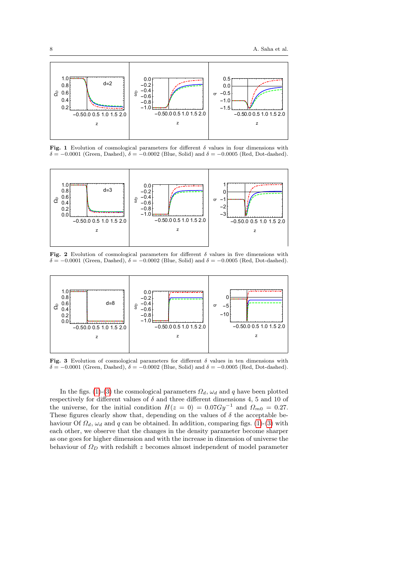

<span id="page-7-0"></span>Fig. 1 Evolution of cosmological parameters for different  $\delta$  values in four dimensions with  $\delta = -0.0001$  (Green, Dashed),  $\delta = -0.0002$  (Blue, Solid) and  $\delta = -0.0005$  (Red, Dot-dashed).



<span id="page-7-2"></span>Fig. 2 Evolution of cosmological parameters for different  $\delta$  values in five dimensions with  $\delta = -0.0001$  (Green, Dashed),  $\delta = -0.0002$  (Blue, Solid) and  $\delta = -0.0005$  (Red, Dot-dashed).



<span id="page-7-1"></span>Fig. 3 Evolution of cosmological parameters for different  $\delta$  values in ten dimensions with  $\delta = -0.0001$  (Green, Dashed),  $\delta = -0.0002$  (Blue, Solid) and  $\delta = -0.0005$  (Red, Dot-dashed).

In the figs. [\(1\)](#page-7-0)-[\(3\)](#page-7-1) the cosmological parameters  $\Omega_d$ ,  $\omega_d$  and q have been plotted respectively for different values of  $\delta$  and three different dimensions 4, 5 and 10 of the universe, for the initial condition  $H(z = 0) = 0.07Gy^{-1}$  and  $\Omega_{m0} = 0.27$ . These figures clearly show that, depending on the values of  $\delta$  the acceptable behaviour Of  $\Omega_d$ ,  $\omega_d$  and q can be obtained. In addition, comparing figs. [\(1\)](#page-7-0)-[\(3\)](#page-7-1) with each other, we observe that the changes in the density parameter become sharper as one goes for higher dimension and with the increase in dimension of universe the behaviour of  $\Omega_D$  with redshift z becomes almost independent of model parameter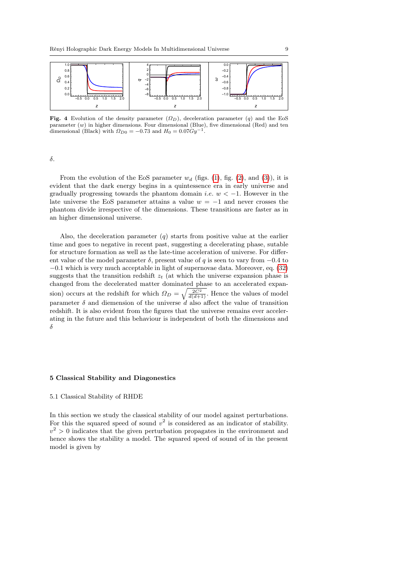

Fig. 4 Evolution of the density parameter  $(\Omega_D)$ , deceleration parameter  $(q)$  and the EoS parameter  $(w)$  in higher dimensions. Four dimensional (Blue), five dimensional (Red) and ten dimensional (Black) with  $\Omega_{D0} = -0.73$  and  $H_0 = 0.07Gy^{-1}$ .

δ.

From the evolution of the EoS parameter  $w_d$  (figs. [\(1\)](#page-7-0), fig. [\(2\)](#page-7-2), and [\(3\)](#page-7-1)), it is evident that the dark energy begins in a quintessence era in early universe and gradually progressing towards the phantom domain *i.e.*  $w < -1$ . However in the late universe the EoS parameter attains a value  $w = -1$  and never crosses the phantom divide irrespective of the dimensions. These transitions are faster as in an higher dimensional universe.

Also, the deceleration parameter  $(q)$  starts from positive value at the earlier time and goes to negative in recent past, suggesting a decelerating phase, sutable for structure formation as well as the late-time acceleration of universe. For different value of the model parameter  $\delta$ , present value of q is seen to vary from  $-0.4$  to −0.1 which is very much acceptable in light of supernovae data. Moreover, eq. [\(32\)](#page-6-5) suggests that the transition redshift  $z_t$  (at which the universe expansion phase is changed from the decelerated matter dominated phase to an accelerated expansion) occurs at the redshift for which  $\Omega_D = \sqrt{\frac{2C^2}{d(d+1)}}$ . Hence the values of model parameter  $\delta$  and diemension of the universe d also affect the value of transition redshift. It is also evident from the figures that the universe remains ever accelerating in the future and this behaviour is independent of both the dimensions and δ

#### <span id="page-8-0"></span>5 Classical Stability and Diagonestics

#### 5.1 Classical Stability of RHDE

In this section we study the classical stability of our model against perturbations. For this the squared speed of sound  $v^2$  is considered as an indicator of stability.  $v^2 > 0$  indicates that the given perturbation propagates in the environment and hence shows the stability a model. The squared speed of sound of in the present model is given by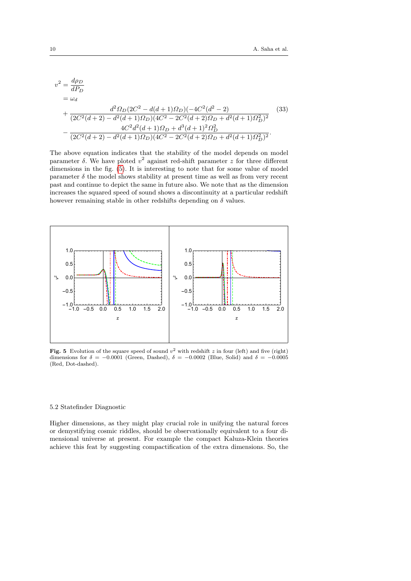$$
v^{2} = \frac{d\rho_{D}}{dP_{D}}
$$
  
=  $\omega_{d}$   
+  $\frac{d^{2}\Omega_{D}(2C^{2} - d(d+1)\Omega_{D})(-4C^{2}(d^{2} - 2)}{(2C^{2}(d+2) - d^{2}(d+1)\Omega_{D})(4C^{2} - 2C^{2}(d+2)\Omega_{D} + d^{2}(d+1)\Omega_{D}^{2})^{2}}$   
-  $\frac{4C^{2}d^{2}(d+1)\Omega_{D} + d^{3}(d+1)^{2}\Omega_{D}^{2}}{(2C^{2}(d+2) - d^{2}(d+1)\Omega_{D})(4C^{2} - 2C^{2}(d+2)\Omega_{D} + d^{2}(d+1)\Omega_{D}^{2})^{2}}$  (33)

The above equation indicates that the stability of the model depends on model parameter  $\delta$ . We have ploted  $v^2$  against red-shift parameter z for three different dimensions in the fig. [\(5\)](#page-9-0). It is interesting to note that for some value of model parameter  $\delta$  the model shows stability at present time as well as from very recent past and continue to depict the same in future also. We note that as the dimension increases the squared speed of sound shows a discontinuity at a particular redshift however remaining stable in other redshifts depending on  $\delta$  values.



<span id="page-9-0"></span>Fig. 5 Evolution of the square speed of sound  $v^2$  with redshift z in four (left) and five (right) dimensions for  $\delta = -0.0001$  (Green, Dashed),  $\delta = -0.0002$  (Blue, Solid) and  $\delta = -0.0005$ (Red, Dot-dashed).

#### 5.2 Statefinder Diagnostic

Higher dimensions, as they might play crucial role in unifying the natural forces or demystifying cosmic riddles, should be observationally equivalent to a four dimensional universe at present. For example the compact Kaluza-Klein theories achieve this feat by suggesting compactification of the extra dimensions. So, the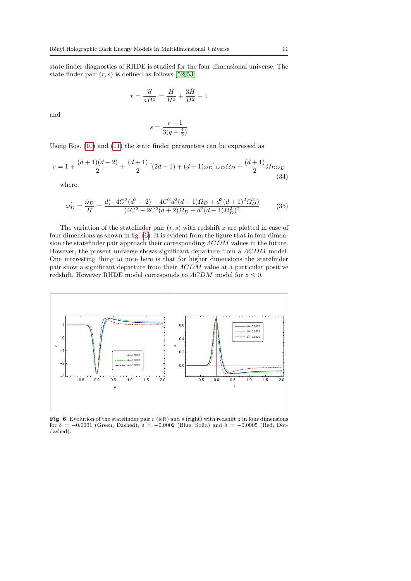state finder diagnostics of RHDE is studied for the four dimensional universe. The state finder pair  $(r, s)$  is defined as follows [\[52,](#page-13-15) [53\]](#page-13-16):

$$
r=\frac{\dddot{a}}{aH^3}=\frac{\ddot{H}}{H^3}+\frac{3\dot{H}}{H^2}+1
$$

and

$$
s = \frac{r-1}{3(q-\frac{1}{2})}
$$

Using Eqs. [\(10\)](#page-4-1) and [\(11\)](#page-4-4) the state finder parameters can be expressed as

$$
r = 1 + \frac{(d+1)(d-2)}{2} + \frac{(d+1)}{2} \left[ (2d-1) + (d+1)\omega_D \right] \omega_D \Omega_D - \frac{(d+1)}{2} \Omega_D \omega_D
$$
\n(34)

where,

$$
\omega'_{D} = \frac{\dot{\omega}_{D}}{H} = \frac{d(-4C^{2}(d^{2}-2) - 4C^{2}d^{2}(d+1)\Omega_{D} + d^{3}(d+1)^{2}\Omega_{D}^{2})}{(4C^{2} - 2C^{2}(d+2)\Omega_{D} + d^{2}(d+1)\Omega_{D}^{2})^{2}}
$$
(35)

The variation of the statefinder pair  $(r, s)$  with redshift z are plotted in case of four dimensions as shown in fig. [\(6\)](#page-10-0). It is evident from the figure that in four dimension the statefinder pair approach their corresponding ΛCDM values in the future. However, the present universe shows significant departure from a ΛCDM model. One interesting thing to note here is that for higher dimensions the statefinder pair show a significant departure from their ΛCDM value at a particular positive redshift. However RHDE model corresponds to  $\Lambda CDM$  model for  $z \leq 0$ .



<span id="page-10-0"></span>Fig. 6 Evolution of the statefinder pair  $r$  (left) and  $s$  (right) with redshift  $z$  in four dimensions for  $\delta = -0.0001$  (Green, Dashed),  $\delta = -0.0002$  (Blue, Solid) and  $\delta = -0.0005$  (Red, Dotdashed).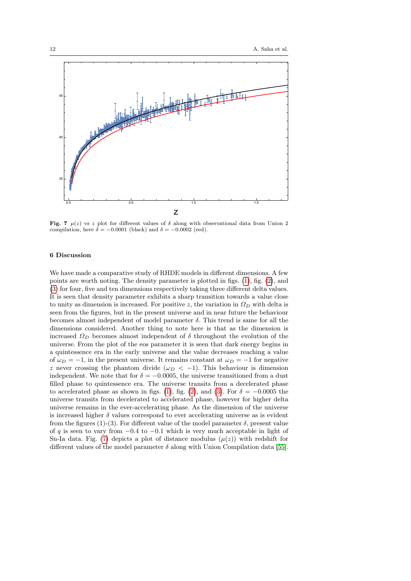

<span id="page-11-1"></span>Fig. 7  $\mu(z)$  vs z plot for different values of  $\delta$  along with observational data from Union 2 compilation, here  $\delta = -0.0001$  (black) and  $\delta = -0.0002$  (red).

## <span id="page-11-0"></span>6 Discussion

We have made a comparative study of RHDE models in different dimensions. A few points are worth noting. The density parameter is plotted in figs. [\(1\)](#page-7-0), fig. [\(2\)](#page-7-2), and [\(3\)](#page-7-1) for four, five and ten dimensions respectively taking three different delta values. It is seen that density parameter exhibits a sharp transition towards a value close to unity as dimension is increased. For positive z, the variation in  $\Omega_D$  with delta is seen from the figures, but in the present universe and in near future the behaviour becomes almost independent of model parameter  $\delta$ . This trend is same for all the dimensions considered. Another thing to note here is that as the dimension is increased  $\Omega_D$  becomes almost independent of  $\delta$  throughout the evolution of the universe. From the plot of the eos parameter it is seen that dark energy begins in a quintessence era in the early universe and the value decreases reaching a value of  $\omega_D = -1$ , in the present universe. It remains constant at  $\omega_D = -1$  for negative z never crossing the phantom divide  $(\omega_D < -1)$ . This behaviour is dimension independent. We note that for  $\delta = -0.0005$ , the universe transitioned from a dust filled phase to quintessence era. The universe transits from a decelerated phase to accelerated phase as shown in figs. [\(1\)](#page-7-0), fig. [\(2\)](#page-7-2), and [\(3\)](#page-7-1). For  $\delta = -0.0005$  the universe transits from decelerated to accelerated phase, however for higher delta universe remains in the ever-accelerating phase. As the dimension of the universe is increased higher  $\delta$  values correspond to ever accelerating universe as is evident from the figures (1)-(3). For different value of the model parameter  $\delta$ , present value of q is seen to vary from  $-0.4$  to  $-0.1$  which is very much acceptable in light of Sn-Ia data. Fig. [\(7\)](#page-11-1) depicts a plot of distance modulus  $(\mu(z))$  with redshift for different values of the model parameter  $\delta$  along with Union Compilation data [\[55\]](#page-13-17).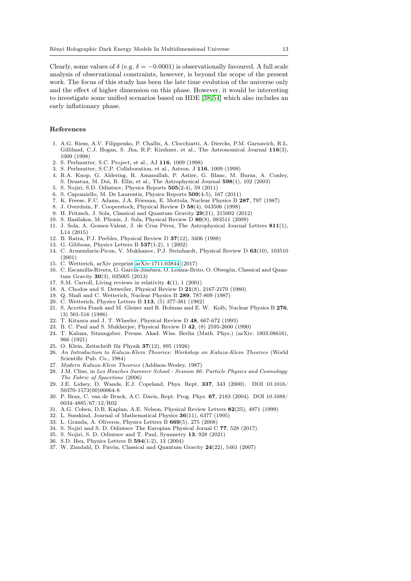Clearly, some values of  $\delta$  (e.g.  $\delta = -0.0001$ ) is observationally favoured. A full scale analysis of observational constraints, however, is beyond the scope of the present work. The focus of this study has been the late time evolution of the universe only and the effect of higher dimension on this phase. However, it would be interesting to investigate some unified scenarios based on HDE [\[38,](#page-13-0) [54\]](#page-13-14) which also includes an early inflationary phase.

#### References

- <span id="page-12-0"></span>1. A.G. Riess, A.V. Filippenko, P. Challis, A. Clocchiatti, A. Diercks, P.M. Garnavich, R.L. Gilliland, C.J. Hogan, S. Jha, R.P. Kirshner, et al., The Astronomical Journal 116(3), 1009 (1998)
- <span id="page-12-1"></span>2. S. Perlmutter, S.C. Project, et al., AJ 116, 1009 (1998)
- <span id="page-12-2"></span>3. S. Perlmutter, S.C.P. Collaboration, et al., Astron. J 116, 1009 (1999)
- <span id="page-12-3"></span>4. R.A. Knop, G. Aldering, R. Amanullah, P. Astier, G. Blanc, M. Burns, A. Conley, S. Deustua, M. Doi, R. Ellis, et al., The Astrophysical Journal 598(1), 102 (2003)
- <span id="page-12-4"></span>5. S. Nojiri, S.D. Odintsov, Physics Reports 505(2-4), 59 (2011)
- <span id="page-12-5"></span>6. S. Capozziello, M. De Laurentis, Physics Reports 509(4-5), 167 (2011)
- <span id="page-12-6"></span>7. K. Freese, F.C. Adams, J.A. Frieman, E. Mottola, Nuclear Physics B 287, 797 (1987)
- <span id="page-12-7"></span>8. J. Overduin, F. Cooperstock, Physical Review D 58(4), 043506 (1998)
- <span id="page-12-8"></span>9. H. Fritzsch, J. Sola, Classical and Quantum Gravity 29(21), 215002 (2012)
- <span id="page-12-9"></span>10. S. Basilakos, M. Plionis, J. Sola, Physical Review D 80(8), 083511 (2009)
- <span id="page-12-10"></span>11. J. Sola, A. Gomez-Valent, J. de Cruz Pérez, The Astrophysical Journal Letters 811(1), L14 (2015)
- <span id="page-12-11"></span>12. B. Ratra, P.J. Peebles, Physical Review D 37(12), 3406 (1988)
- <span id="page-12-12"></span>13. G. Gibbons, Physics Letters B 537(1-2), 1 (2002)
- <span id="page-12-13"></span>14. C. Armendariz-Picon, V. Mukhanov, P.J. Steinhardt, Physical Review D 63(10), 103510 (2001)
- <span id="page-12-14"></span>15. C. Wetterich, arXiv preprint [arXiv:1711.03844](http://arxiv.org/abs/1711.03844) (2017)
- <span id="page-12-15"></span>16. C. Escamilla-Rivera, G. García-Jiménez, O. Loaiza-Brito, O. Obregón, Classical and Quantum Gravity 30(3), 035005 (2013)
- <span id="page-12-16"></span>17. S.M. Carroll, Living reviews in relativity 4(1), 1 (2001)
- <span id="page-12-17"></span>18. A. Chodos and S. Detweiler, Physical Review D 21(8), 2167-2170 (1980)
- <span id="page-12-18"></span>19. Q. Shafi and C. Wetterich, Nuclear Physics B 289, 787-809 (1987)
- <span id="page-12-19"></span>20. C. Wetterich, Physics Letters B 113, (5) 377-381 (1982)
- <span id="page-12-20"></span>21. S. Accetta Frank and M. Gleiser and R. Holman and E. W. Kolb, Nuclear Physics B 276, (3) 501-516 (1986)
- <span id="page-12-21"></span>22. T. Kitaura and J. T. Wheeler, Physical Review D 48, 667-672 (1993)
- <span id="page-12-22"></span>23. B. C. Paul and S. Mukherjee, Physical Review D 42, (8) 2595-2600 (1990)
- <span id="page-12-23"></span>24. T. Kaluza, Sitzungsber. Preuss. Akad. Wiss. Berlin (Math. Phys.) (arXiv: 1803.08616), 966 (1921)
- <span id="page-12-24"></span>25. O. Klein, Zeitschrift für Physik 37(12), 895 (1926)
- <span id="page-12-25"></span>26. An Introduction to Kaluza-Klein Theories: Workshop on Kaluza-Klein Theories (World Scientific Pub. Co., 1984)
- <span id="page-12-26"></span>27. Modern Kaluza-Klein Theories (Addison-Wesley, 1987)
- <span id="page-12-27"></span>28. J.M. Cline, in Les Houches Summer School - Session 86: Particle Physics and Cosmology: The Fabric of Spacetime (2006)
- <span id="page-12-28"></span>29. J.E. Lidsey, D. Wands, E.J. Copeland, Phys. Rept. 337, 343 (2000). DOI 10.1016/ S0370-1573(00)00064-8
- <span id="page-12-29"></span>30. P. Brax, C. van de Bruck, A.C. Davis, Rept. Prog. Phys. 67, 2183 (2004). DOI 10.1088/ 0034-4885/67/12/R02
- <span id="page-12-30"></span>31. A.G. Cohen, D.B. Kaplan, A.E. Nelson, Physical Review Letters 82(25), 4971 (1999)
- <span id="page-12-31"></span>32. L. Susskind, Journal of Mathematical Physics 36(11), 6377 (1995)
- <span id="page-12-32"></span>33. L. Granda, A. Oliveros, Physics Letters B 669(5), 275 (2008)
- <span id="page-12-33"></span>34. S. Nojiri and S. D. Odintsov The Europian Physical Jornal C 77, 528 (2017).
- <span id="page-12-34"></span>35. S. Nojiri, S. D. Odintsov and T. Paul, Symmetry 13, 928 (2021)
- <span id="page-12-35"></span>36. S.D. Hsu, Physics Letters B 594(1-2), 13 (2004)
- <span id="page-12-36"></span>37. W. Zimdahl, D. Pavón, Classical and Quantum Gravity 24(22), 5461 (2007)